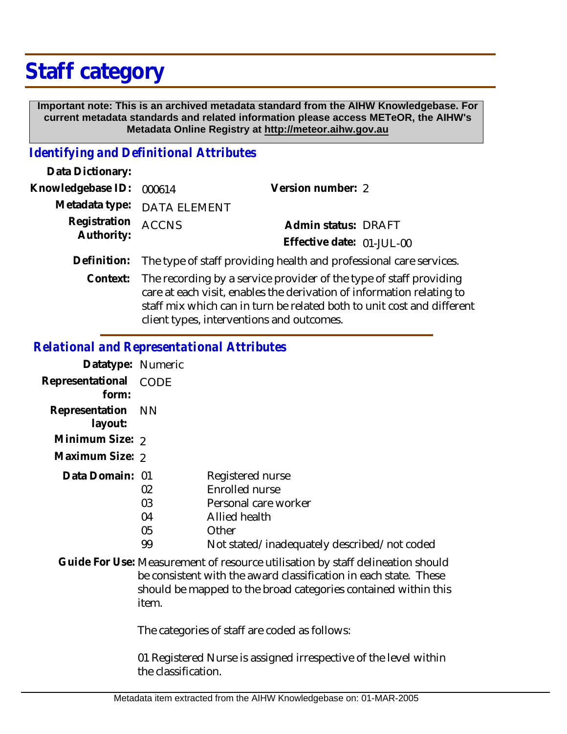# **Staff category**

 **Important note: This is an archived metadata standard from the AIHW Knowledgebase. For current metadata standards and related information please access METeOR, the AIHW's Metadata Online Registry at http://meteor.aihw.gov.au**

### *Identifying and Definitional Attributes*

| Data Dictionary:                 |                                                                                |                           |  |
|----------------------------------|--------------------------------------------------------------------------------|---------------------------|--|
| Knowledgebase ID: 000614         |                                                                                | Version number: 2         |  |
|                                  | Metadata type: DATA ELEMENT                                                    |                           |  |
| Registration ACCNS<br>Authority: |                                                                                | Admin status: DRAFT       |  |
|                                  |                                                                                | Effective date: 01-JUL-00 |  |
|                                  | Definition: The type of staff providing health and professional care services. |                           |  |
|                                  |                                                                                |                           |  |

Context: The recording by a service provider of the type of staff providing care at each visit, enables the derivation of information relating to staff mix which can in turn be related both to unit cost and different client types, interventions and outcomes.

#### *Relational and Representational Attributes*

| Datatype: Numeric            |      |                                             |
|------------------------------|------|---------------------------------------------|
| Representational<br>form:    | CODE |                                             |
| Representation NN<br>layout: |      |                                             |
| Minimum Size: 2              |      |                                             |
| Maximum Size: 2              |      |                                             |
| Data Domain: 01              |      | Registered nurse                            |
|                              | 02   | Enrolled nurse                              |
|                              | 03   | Personal care worker                        |
|                              | 04   | Allied health                               |
|                              | 05   | Other                                       |
|                              | 99   | Not stated/inadequately described/not coded |
|                              |      |                                             |

Guide For Use: Measurement of resource utilisation by staff delineation should be consistent with the award classification in each state. These should be mapped to the broad categories contained within this item.

The categories of staff are coded as follows:

01 Registered Nurse is assigned irrespective of the level within the classification.